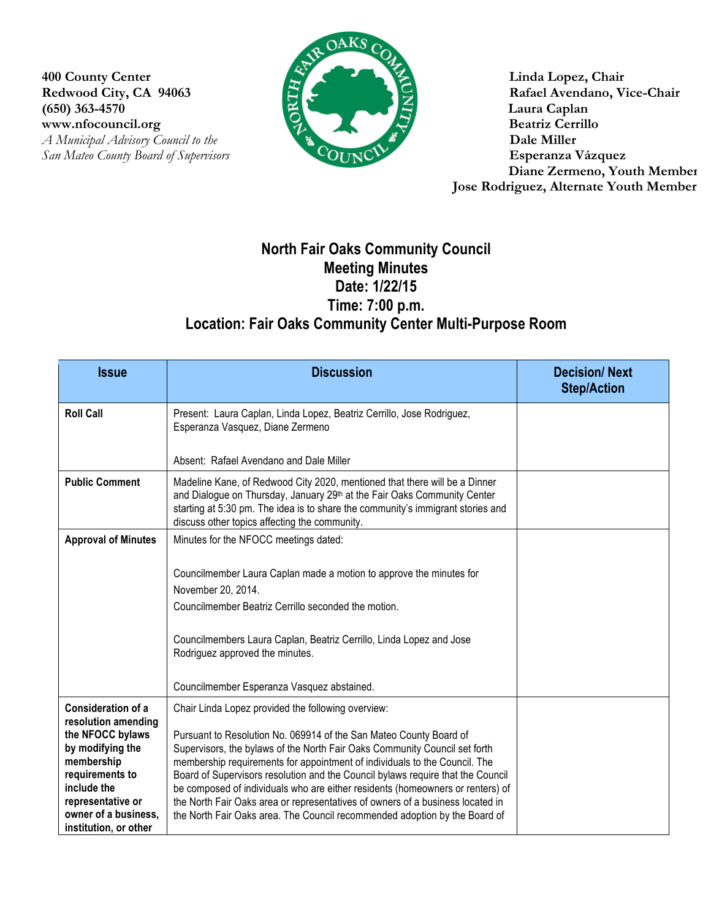400 County Center **Linda Lopez, Chair**<br>Redwood City, CA 94063 Rafael Avendano, Vi **(650) 363-4570 Laura Caplan** www.nfocouncil.org Beatriz Cerrillo **San Mateo County Board of Supervisors** 



**Rafael Avendano, Vice-Chair** *A Municipal Advisory Council to the COUNCIFERIMERS AND Dale Miller* **Dale Miller Dale Miller Base County Board of Supervisors COUNCIFERIMERS Diane Zermeno, Youth Member Jose Rodriguez, Alternate Youth Member**

## **North Fair Oaks Community Council Meeting Minutes Date: 1/22/15 Time: 7:00 p.m. Location: Fair Oaks Community Center Multi-Purpose Room**

| <b>Issue</b>                                                                                                                                               | <b>Discussion</b>                                                                                                                                                                                                                                                                                                                                                                                                                                                                                                                                                   | <b>Decision/Next</b><br><b>Step/Action</b> |
|------------------------------------------------------------------------------------------------------------------------------------------------------------|---------------------------------------------------------------------------------------------------------------------------------------------------------------------------------------------------------------------------------------------------------------------------------------------------------------------------------------------------------------------------------------------------------------------------------------------------------------------------------------------------------------------------------------------------------------------|--------------------------------------------|
| <b>Roll Call</b>                                                                                                                                           | Present: Laura Caplan, Linda Lopez, Beatriz Cerrillo, Jose Rodriguez,<br>Esperanza Vasquez, Diane Zermeno                                                                                                                                                                                                                                                                                                                                                                                                                                                           |                                            |
|                                                                                                                                                            | Absent: Rafael Avendano and Dale Miller                                                                                                                                                                                                                                                                                                                                                                                                                                                                                                                             |                                            |
| <b>Public Comment</b>                                                                                                                                      | Madeline Kane, of Redwood City 2020, mentioned that there will be a Dinner<br>and Dialogue on Thursday, January 29th at the Fair Oaks Community Center<br>starting at 5:30 pm. The idea is to share the community's immigrant stories and<br>discuss other topics affecting the community.                                                                                                                                                                                                                                                                          |                                            |
| <b>Approval of Minutes</b>                                                                                                                                 | Minutes for the NFOCC meetings dated:                                                                                                                                                                                                                                                                                                                                                                                                                                                                                                                               |                                            |
|                                                                                                                                                            | Councilmember Laura Caplan made a motion to approve the minutes for<br>November 20, 2014.<br>Councilmember Beatriz Cerrillo seconded the motion.                                                                                                                                                                                                                                                                                                                                                                                                                    |                                            |
|                                                                                                                                                            | Councilmembers Laura Caplan, Beatriz Cerrillo, Linda Lopez and Jose<br>Rodriguez approved the minutes.                                                                                                                                                                                                                                                                                                                                                                                                                                                              |                                            |
|                                                                                                                                                            | Councilmember Esperanza Vasquez abstained.                                                                                                                                                                                                                                                                                                                                                                                                                                                                                                                          |                                            |
| <b>Consideration of a</b><br>resolution amending                                                                                                           | Chair Linda Lopez provided the following overview:                                                                                                                                                                                                                                                                                                                                                                                                                                                                                                                  |                                            |
| the NFOCC bylaws<br>by modifying the<br>membership<br>requirements to<br>include the<br>representative or<br>owner of a business,<br>institution, or other | Pursuant to Resolution No. 069914 of the San Mateo County Board of<br>Supervisors, the bylaws of the North Fair Oaks Community Council set forth<br>membership requirements for appointment of individuals to the Council. The<br>Board of Supervisors resolution and the Council bylaws require that the Council<br>be composed of individuals who are either residents (homeowners or renters) of<br>the North Fair Oaks area or representatives of owners of a business located in<br>the North Fair Oaks area. The Council recommended adoption by the Board of |                                            |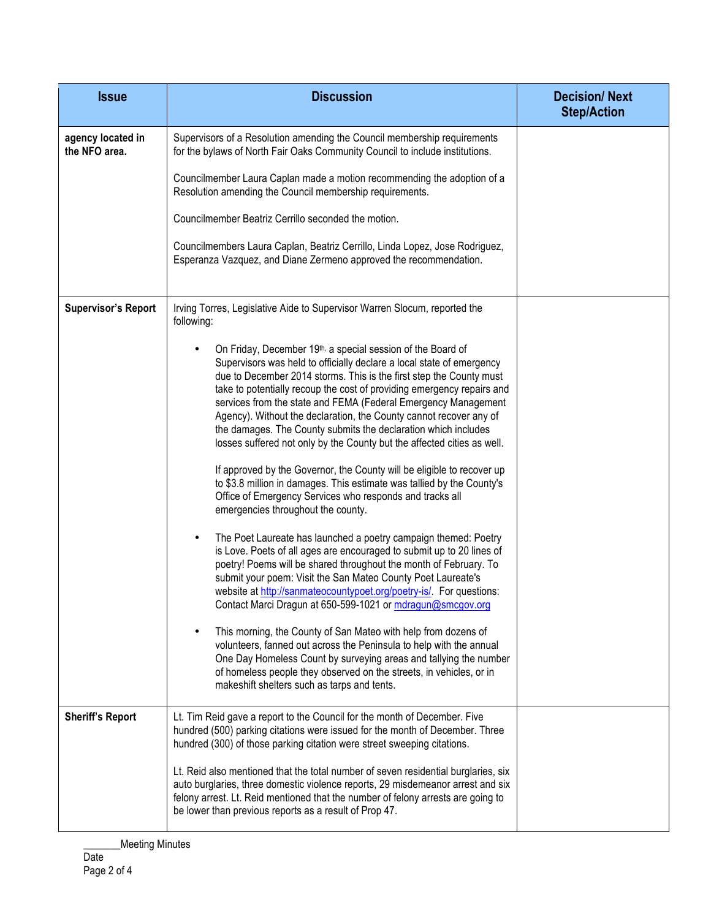| <b>Issue</b>                       | <b>Discussion</b>                                                                                                                                                                                                                                                                                                                                                                                                                                                                                                                                                          | <b>Decision/Next</b><br><b>Step/Action</b> |
|------------------------------------|----------------------------------------------------------------------------------------------------------------------------------------------------------------------------------------------------------------------------------------------------------------------------------------------------------------------------------------------------------------------------------------------------------------------------------------------------------------------------------------------------------------------------------------------------------------------------|--------------------------------------------|
| agency located in<br>the NFO area. | Supervisors of a Resolution amending the Council membership requirements<br>for the bylaws of North Fair Oaks Community Council to include institutions.                                                                                                                                                                                                                                                                                                                                                                                                                   |                                            |
|                                    | Councilmember Laura Caplan made a motion recommending the adoption of a<br>Resolution amending the Council membership requirements.                                                                                                                                                                                                                                                                                                                                                                                                                                        |                                            |
|                                    | Councilmember Beatriz Cerrillo seconded the motion.                                                                                                                                                                                                                                                                                                                                                                                                                                                                                                                        |                                            |
|                                    | Councilmembers Laura Caplan, Beatriz Cerrillo, Linda Lopez, Jose Rodriguez,<br>Esperanza Vazquez, and Diane Zermeno approved the recommendation.                                                                                                                                                                                                                                                                                                                                                                                                                           |                                            |
| <b>Supervisor's Report</b>         | Irving Torres, Legislative Aide to Supervisor Warren Slocum, reported the<br>following:                                                                                                                                                                                                                                                                                                                                                                                                                                                                                    |                                            |
|                                    | On Friday, December 19th, a special session of the Board of<br>Supervisors was held to officially declare a local state of emergency<br>due to December 2014 storms. This is the first step the County must<br>take to potentially recoup the cost of providing emergency repairs and<br>services from the state and FEMA (Federal Emergency Management<br>Agency). Without the declaration, the County cannot recover any of<br>the damages. The County submits the declaration which includes<br>losses suffered not only by the County but the affected cities as well. |                                            |
|                                    | If approved by the Governor, the County will be eligible to recover up<br>to \$3.8 million in damages. This estimate was tallied by the County's<br>Office of Emergency Services who responds and tracks all<br>emergencies throughout the county.                                                                                                                                                                                                                                                                                                                         |                                            |
|                                    | The Poet Laureate has launched a poetry campaign themed: Poetry<br>is Love. Poets of all ages are encouraged to submit up to 20 lines of<br>poetry! Poems will be shared throughout the month of February. To<br>submit your poem: Visit the San Mateo County Poet Laureate's<br>website at http://sanmateocountypoet.org/poetry-is/. For questions:<br>Contact Marci Dragun at 650-599-1021 or mdragun@smcgov.org                                                                                                                                                         |                                            |
|                                    | This morning, the County of San Mateo with help from dozens of<br>volunteers, fanned out across the Peninsula to help with the annual<br>One Day Homeless Count by surveying areas and tallying the number<br>of homeless people they observed on the streets, in vehicles, or in<br>makeshift shelters such as tarps and tents.                                                                                                                                                                                                                                           |                                            |
| <b>Sheriff's Report</b>            | Lt. Tim Reid gave a report to the Council for the month of December. Five<br>hundred (500) parking citations were issued for the month of December. Three<br>hundred (300) of those parking citation were street sweeping citations.                                                                                                                                                                                                                                                                                                                                       |                                            |
|                                    | Lt. Reid also mentioned that the total number of seven residential burglaries, six<br>auto burglaries, three domestic violence reports, 29 misdemeanor arrest and six<br>felony arrest. Lt. Reid mentioned that the number of felony arrests are going to<br>be lower than previous reports as a result of Prop 47.                                                                                                                                                                                                                                                        |                                            |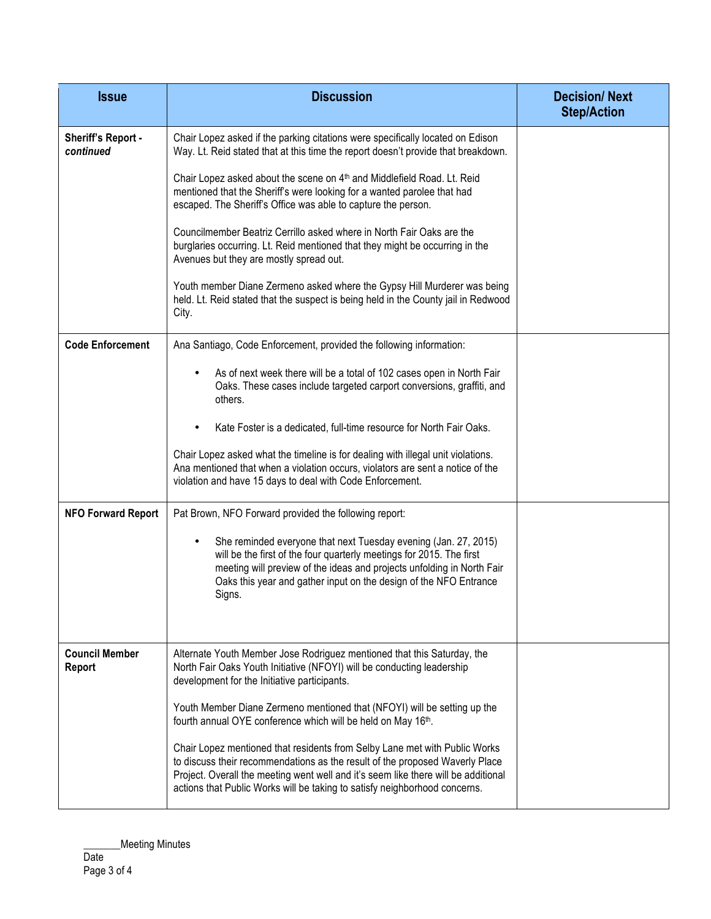| <b>Issue</b>                    | <b>Discussion</b>                                                                                                                                                                                                                                                                                                                                                                                      | <b>Decision/Next</b><br><b>Step/Action</b> |
|---------------------------------|--------------------------------------------------------------------------------------------------------------------------------------------------------------------------------------------------------------------------------------------------------------------------------------------------------------------------------------------------------------------------------------------------------|--------------------------------------------|
| Sheriff's Report -<br>continued | Chair Lopez asked if the parking citations were specifically located on Edison<br>Way. Lt. Reid stated that at this time the report doesn't provide that breakdown.<br>Chair Lopez asked about the scene on 4 <sup>th</sup> and Middlefield Road. Lt. Reid<br>mentioned that the Sheriff's were looking for a wanted parolee that had<br>escaped. The Sheriff's Office was able to capture the person. |                                            |
|                                 | Councilmember Beatriz Cerrillo asked where in North Fair Oaks are the<br>burglaries occurring. Lt. Reid mentioned that they might be occurring in the<br>Avenues but they are mostly spread out.                                                                                                                                                                                                       |                                            |
|                                 | Youth member Diane Zermeno asked where the Gypsy Hill Murderer was being<br>held. Lt. Reid stated that the suspect is being held in the County jail in Redwood<br>City.                                                                                                                                                                                                                                |                                            |
| <b>Code Enforcement</b>         | Ana Santiago, Code Enforcement, provided the following information:                                                                                                                                                                                                                                                                                                                                    |                                            |
|                                 | As of next week there will be a total of 102 cases open in North Fair<br>Oaks. These cases include targeted carport conversions, graffiti, and<br>others.                                                                                                                                                                                                                                              |                                            |
|                                 | Kate Foster is a dedicated, full-time resource for North Fair Oaks.                                                                                                                                                                                                                                                                                                                                    |                                            |
|                                 | Chair Lopez asked what the timeline is for dealing with illegal unit violations.<br>Ana mentioned that when a violation occurs, violators are sent a notice of the<br>violation and have 15 days to deal with Code Enforcement.                                                                                                                                                                        |                                            |
| <b>NFO Forward Report</b>       | Pat Brown, NFO Forward provided the following report:                                                                                                                                                                                                                                                                                                                                                  |                                            |
|                                 | She reminded everyone that next Tuesday evening (Jan. 27, 2015)<br>will be the first of the four quarterly meetings for 2015. The first<br>meeting will preview of the ideas and projects unfolding in North Fair<br>Oaks this year and gather input on the design of the NFO Entrance<br>Signs.                                                                                                       |                                            |
| <b>Council Member</b><br>Report | Alternate Youth Member Jose Rodriguez mentioned that this Saturday, the<br>North Fair Oaks Youth Initiative (NFOYI) will be conducting leadership<br>development for the Initiative participants.                                                                                                                                                                                                      |                                            |
|                                 | Youth Member Diane Zermeno mentioned that (NFOYI) will be setting up the<br>fourth annual OYE conference which will be held on May 16th.                                                                                                                                                                                                                                                               |                                            |
|                                 | Chair Lopez mentioned that residents from Selby Lane met with Public Works<br>to discuss their recommendations as the result of the proposed Waverly Place<br>Project. Overall the meeting went well and it's seem like there will be additional<br>actions that Public Works will be taking to satisfy neighborhood concerns.                                                                         |                                            |